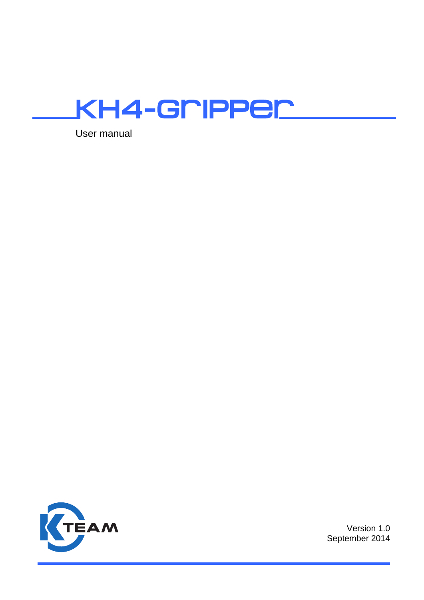

User manual



Version 1.0 September 2014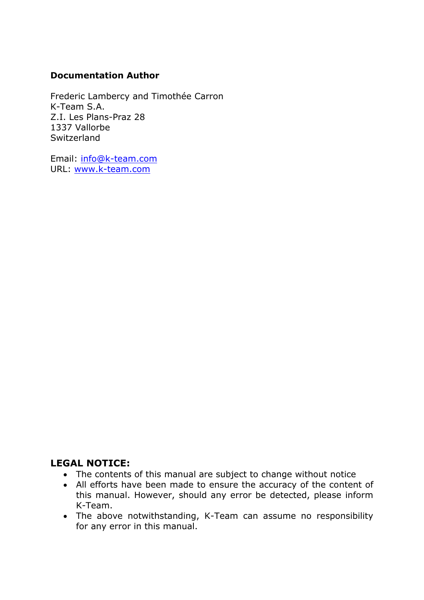#### **Documentation Author**

Frederic Lambercy and Timothée Carron K-Team S.A. Z.I. Les Plans-Praz 28 1337 Vallorbe Switzerland

Email: [info@k-team.com](mailto:info@k-team.com) URL: [www.k-team.com](http://www.k-team.com/)

### **LEGAL NOTICE:**

- The contents of this manual are subject to change without notice
- All efforts have been made to ensure the accuracy of the content of this manual. However, should any error be detected, please inform K-Team.
- The above notwithstanding, K-Team can assume no responsibility for any error in this manual.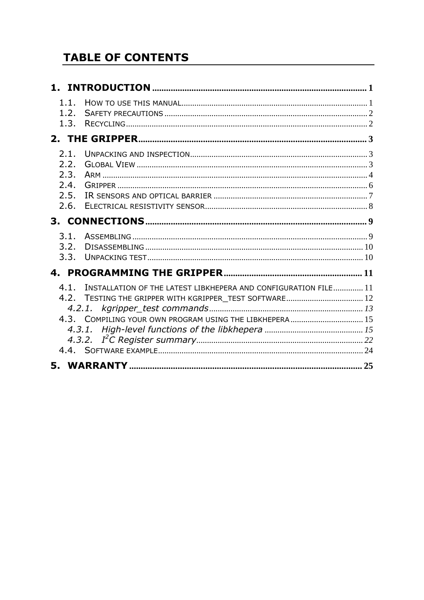# **TABLE OF CONTENTS**

| 1.1.<br>1.2.<br>1.3.                         |                                                                                                                                                                                       |  |
|----------------------------------------------|---------------------------------------------------------------------------------------------------------------------------------------------------------------------------------------|--|
|                                              |                                                                                                                                                                                       |  |
| 2.1.<br>2.2.<br>2.3.<br>2.4.<br>2.5.<br>2.6. |                                                                                                                                                                                       |  |
| 3.1.<br>3.2.<br>3.3.                         |                                                                                                                                                                                       |  |
| 4.                                           |                                                                                                                                                                                       |  |
| 4.1                                          | INSTALLATION OF THE LATEST LIBKHEPERA AND CONFIGURATION FILE 11<br>4.2. TESTING THE GRIPPER WITH KGRIPPER_TEST SOFTWARE 12<br>4.3. COMPILING YOUR OWN PROGRAM USING THE LIBKHEPERA 15 |  |
|                                              |                                                                                                                                                                                       |  |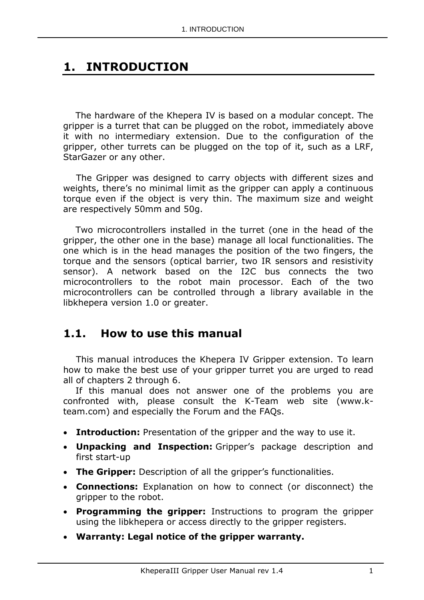# <span id="page-4-0"></span>**1. INTRODUCTION**

The hardware of the Khepera IV is based on a modular concept. The gripper is a turret that can be plugged on the robot, immediately above it with no intermediary extension. Due to the configuration of the gripper, other turrets can be plugged on the top of it, such as a LRF, StarGazer or any other.

The Gripper was designed to carry objects with different sizes and weights, there's no minimal limit as the gripper can apply a continuous torque even if the object is very thin. The maximum size and weight are respectively 50mm and 50g.

Two microcontrollers installed in the turret (one in the head of the gripper, the other one in the base) manage all local functionalities. The one which is in the head manages the position of the two fingers, the torque and the sensors (optical barrier, two IR sensors and resistivity sensor). A network based on the I2C bus connects the two microcontrollers to the robot main processor. Each of the two microcontrollers can be controlled through a library available in the libkhepera version 1.0 or greater.

## <span id="page-4-1"></span>**1.1. How to use this manual**

This manual introduces the Khepera IV Gripper extension. To learn how to make the best use of your gripper turret you are urged to read all of chapters 2 through 6.

If this manual does not answer one of the problems you are confronted with, please consult the K-Team web site (www.kteam.com) and especially the Forum and the FAQs.

- **Introduction:** Presentation of the gripper and the way to use it.
- **Unpacking and Inspection:** Gripper's package description and first start-up
- **The Gripper:** Description of all the gripper's functionalities.
- **Connections:** Explanation on how to connect (or disconnect) the gripper to the robot.
- **Programming the gripper:** Instructions to program the gripper using the libkhepera or access directly to the gripper registers.
- **Warranty: Legal notice of the gripper warranty.**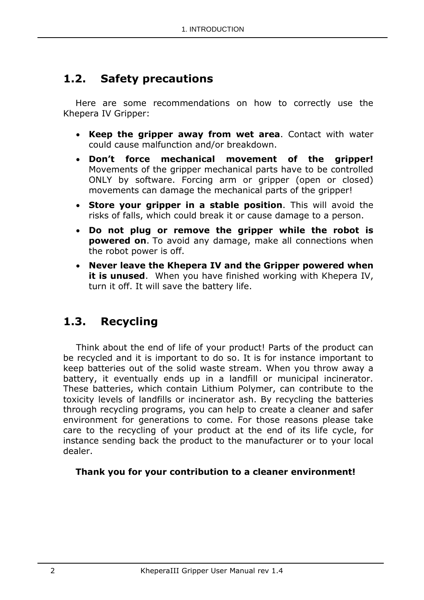# <span id="page-5-0"></span>**1.2. Safety precautions**

Here are some recommendations on how to correctly use the Khepera IV Gripper:

- **Keep the gripper away from wet area**. Contact with water could cause malfunction and/or breakdown.
- **Don't force mechanical movement of the gripper!**  Movements of the gripper mechanical parts have to be controlled ONLY by software. Forcing arm or gripper (open or closed) movements can damage the mechanical parts of the gripper!
- **Store your gripper in a stable position**. This will avoid the risks of falls, which could break it or cause damage to a person.
- **Do not plug or remove the gripper while the robot is powered on**. To avoid any damage, make all connections when the robot power is off.
- **Never leave the Khepera IV and the Gripper powered when it is unused**. When you have finished working with Khepera IV, turn it off. It will save the battery life.

# <span id="page-5-1"></span>**1.3. Recycling**

Think about the end of life of your product! Parts of the product can be recycled and it is important to do so. It is for instance important to keep batteries out of the solid waste stream. When you throw away a battery, it eventually ends up in a landfill or municipal incinerator. These batteries, which contain Lithium Polymer, can contribute to the toxicity levels of landfills or incinerator ash. By recycling the batteries through recycling programs, you can help to create a cleaner and safer environment for generations to come. For those reasons please take care to the recycling of your product at the end of its life cycle, for instance sending back the product to the manufacturer or to your local dealer.

### **Thank you for your contribution to a cleaner environment!**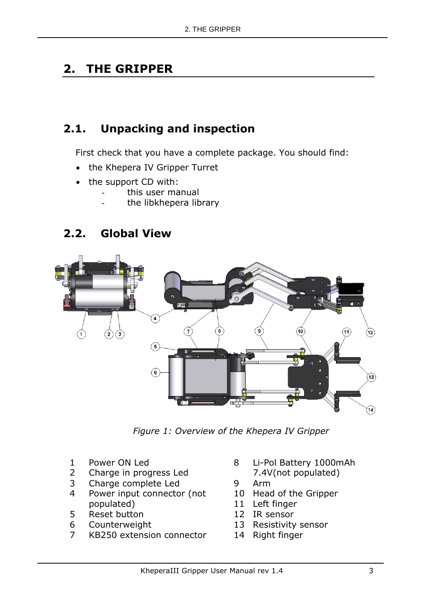# <span id="page-6-0"></span>**2. THE GRIPPER**

# <span id="page-6-1"></span>**2.1. Unpacking and inspection**

First check that you have a complete package. You should find:

- the Khepera IV Gripper Turret
- the support CD with:
	- this user manual
	- the libkhepera library

# <span id="page-6-2"></span>**2.2. Global View**



*Figure 1: Overview of the Khepera IV Gripper*

- 1 Power ON Led
- 2 Charge in progress Led
- 3 Charge complete Led
- 4 Power input connector (not populated)
- 5 Reset button
- 6 Counterweight
- 7 KB250 extension connector
- 8 Li-Pol Battery 1000mAh
	- 7.4V(not populated)
- 9 Arm
- 10 Head of the Gripper
- 11 Left finger
- 12 IR sensor
- 13 Resistivity sensor
- 14 Right finger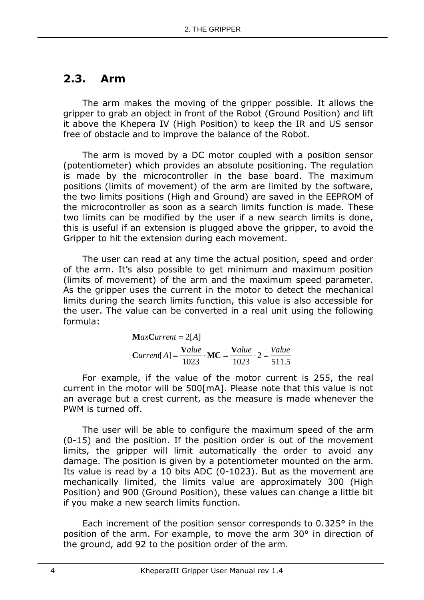## <span id="page-7-0"></span>**2.3. Arm**

The arm makes the moving of the gripper possible. It allows the gripper to grab an object in front of the Robot (Ground Position) and lift it above the Khepera IV (High Position) to keep the IR and US sensor free of obstacle and to improve the balance of the Robot.

The arm is moved by a DC motor coupled with a position sensor (potentiometer) which provides an absolute positioning. The regulation is made by the microcontroller in the base board. The maximum positions (limits of movement) of the arm are limited by the software, the two limits positions (High and Ground) are saved in the EEPROM of the microcontroller as soon as a search limits function is made. These two limits can be modified by the user if a new search limits is done, this is useful if an extension is plugged above the gripper, to avoid the Gripper to hit the extension during each movement.

The user can read at any time the actual position, speed and order of the arm. It's also possible to get minimum and maximum position (limits of movement) of the arm and the maximum speed parameter. As the gripper uses the current in the motor to detect the mechanical limits during the search limits function, this value is also accessible for the user. The value can be converted in a real unit using the following formula:

> 511.5 2 1023 1023  $Current[A] = \frac{Value}{1000} \cdot MC = \frac{Value}{1000} \cdot 2 = \frac{Value}{1000}$  $MaxCurrent = 2[A]$

For example, if the value of the motor current is 255, the real current in the motor will be 500[mA]. Please note that this value is not an average but a crest current, as the measure is made whenever the PWM is turned off.

The user will be able to configure the maximum speed of the arm (0-15) and the position. If the position order is out of the movement limits, the gripper will limit automatically the order to avoid any damage. The position is given by a potentiometer mounted on the arm. Its value is read by a 10 bits ADC (0-1023). But as the movement are mechanically limited, the limits value are approximately 300 (High Position) and 900 (Ground Position), these values can change a little bit if you make a new search limits function.

Each increment of the position sensor corresponds to 0.325° in the position of the arm. For example, to move the arm 30° in direction of the ground, add 92 to the position order of the arm.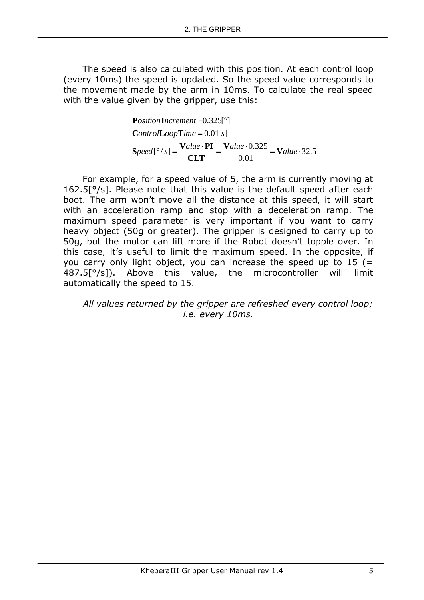The speed is also calculated with this position. At each control loop (every 10ms) the speed is updated. So the speed value corresponds to the movement made by the arm in 10ms. To calculate the real speed with the value given by the gripper, use this:

**PositionIncrement** =0.325[°]  
ControlLoopTime = 0.01[s]  
Speed[°/s] = 
$$
\frac{Value \cdot PI}{CLT} = \frac{Value \cdot 0.325}{0.01} = Value \cdot 32.5
$$

For example, for a speed value of 5, the arm is currently moving at 162.5[°/s]. Please note that this value is the default speed after each boot. The arm won't move all the distance at this speed, it will start with an acceleration ramp and stop with a deceleration ramp. The maximum speed parameter is very important if you want to carry heavy object (50g or greater). The gripper is designed to carry up to 50g, but the motor can lift more if the Robot doesn't topple over. In this case, it's useful to limit the maximum speed. In the opposite, if you carry only light object, you can increase the speed up to  $15$  (= 487.5[°/s]). Above this value, the microcontroller will limit automatically the speed to 15.

*All values returned by the gripper are refreshed every control loop; i.e. every 10ms.*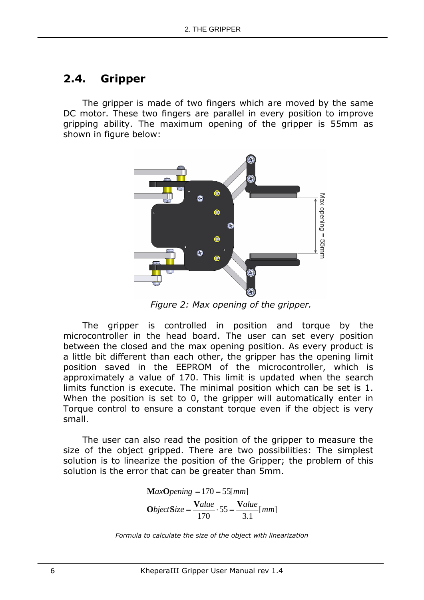## <span id="page-9-0"></span>**2.4. Gripper**

The gripper is made of two fingers which are moved by the same DC motor. These two fingers are parallel in every position to improve gripping ability. The maximum opening of the gripper is 55mm as shown in figure below:



*Figure 2: Max opening of the gripper.*

The gripper is controlled in position and torque by the microcontroller in the head board. The user can set every position between the closed and the max opening position. As every product is a little bit different than each other, the gripper has the opening limit position saved in the EEPROM of the microcontroller, which is approximately a value of 170. This limit is updated when the search limits function is execute. The minimal position which can be set is 1. When the position is set to 0, the gripper will automatically enter in Torque control to ensure a constant torque even if the object is very small.

The user can also read the position of the gripper to measure the size of the object gripped. There are two possibilities: The simplest solution is to linearize the position of the Gripper; the problem of this solution is the error that can be greater than 5mm.

$$
MaxOpening = 170 = 55 [mm]
$$
  
ObjectSize = 
$$
\frac{Value}{170} \cdot 55 = \frac{Value}{3.1} [mm]
$$

*Formula to calculate the size of the object with linearization*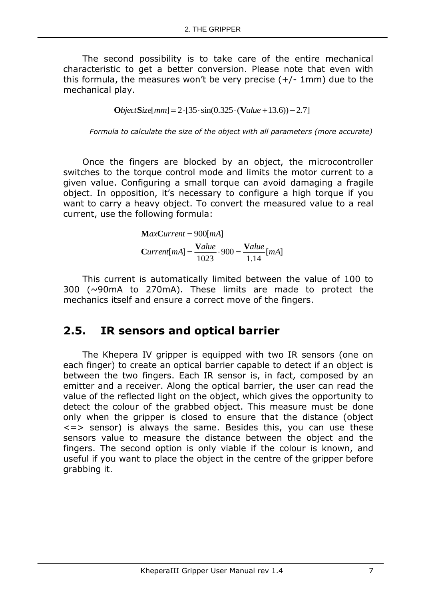The second possibility is to take care of the entire mechanical characteristic to get a better conversion. Please note that even with this formula, the measures won't be very precise  $(+/- 1$ mm) due to the mechanical play.

$$
ObjectSize[mm] = 2 \cdot [35 \cdot \sin(0.325 \cdot (Value + 13.6)) - 2.7]
$$

*Formula to calculate the size of the object with all parameters (more accurate)*

Once the fingers are blocked by an object, the microcontroller switches to the torque control mode and limits the motor current to a given value. Configuring a small torque can avoid damaging a fragile object. In opposition, it's necessary to configure a high torque if you want to carry a heavy object. To convert the measured value to a real current, use the following formula:

> $[mA]$ 1.14 900 1023  $Current[mA] = \frac{Value}{1000} \cdot 900 = \frac{Value}{1000} [mA]$  $MaxCurrent = 900$ [mA]

This current is automatically limited between the value of 100 to 300 (~90mA to 270mA). These limits are made to protect the mechanics itself and ensure a correct move of the fingers.

## <span id="page-10-0"></span>**2.5. IR sensors and optical barrier**

The Khepera IV gripper is equipped with two IR sensors (one on each finger) to create an optical barrier capable to detect if an object is between the two fingers. Each IR sensor is, in fact, composed by an emitter and a receiver. Along the optical barrier, the user can read the value of the reflected light on the object, which gives the opportunity to detect the colour of the grabbed object. This measure must be done only when the gripper is closed to ensure that the distance (object  $\le$  => sensor) is always the same. Besides this, you can use these sensors value to measure the distance between the object and the fingers. The second option is only viable if the colour is known, and useful if you want to place the object in the centre of the gripper before grabbing it.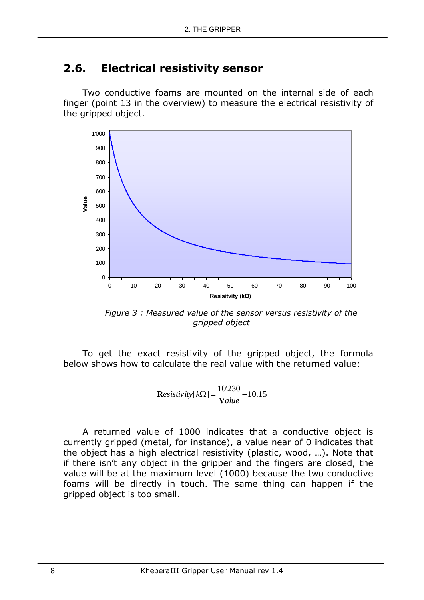# <span id="page-11-0"></span>**2.6. Electrical resistivity sensor**

Two conductive foams are mounted on the internal side of each finger (point 13 in the overview) to measure the electrical resistivity of the gripped object.



*Figure 3 : Measured value of the sensor versus resistivity of the gripped object*

To get the exact resistivity of the gripped object, the formula below shows how to calculate the real value with the returned value:

$$
\text{Resistivity}[k\Omega] = \frac{10'230}{Value} - 10.15
$$

A returned value of 1000 indicates that a conductive object is currently gripped (metal, for instance), a value near of 0 indicates that the object has a high electrical resistivity (plastic, wood, …). Note that if there isn't any object in the gripper and the fingers are closed, the value will be at the maximum level (1000) because the two conductive foams will be directly in touch. The same thing can happen if the gripped object is too small.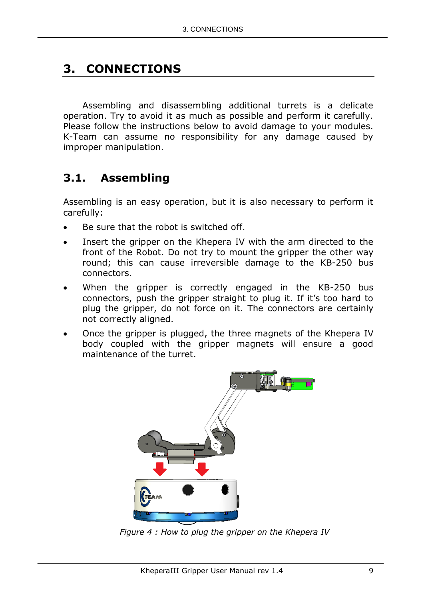# <span id="page-12-0"></span>**3. CONNECTIONS**

Assembling and disassembling additional turrets is a delicate operation. Try to avoid it as much as possible and perform it carefully. Please follow the instructions below to avoid damage to your modules. K-Team can assume no responsibility for any damage caused by improper manipulation.

# <span id="page-12-1"></span>**3.1. Assembling**

Assembling is an easy operation, but it is also necessary to perform it carefully:

- Be sure that the robot is switched off.
- Insert the gripper on the Khepera IV with the arm directed to the front of the Robot. Do not try to mount the gripper the other way round; this can cause irreversible damage to the KB-250 bus connectors.
- When the gripper is correctly engaged in the KB-250 bus connectors, push the gripper straight to plug it. If it's too hard to plug the gripper, do not force on it. The connectors are certainly not correctly aligned.
- Once the gripper is plugged, the three magnets of the Khepera IV body coupled with the gripper magnets will ensure a good maintenance of the turret.



*Figure 4 : How to plug the gripper on the Khepera IV*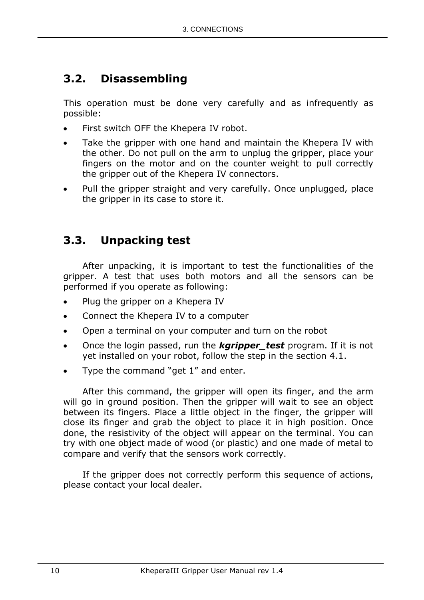# <span id="page-13-0"></span>**3.2. Disassembling**

This operation must be done very carefully and as infrequently as possible:

- First switch OFF the Khepera IV robot.
- Take the gripper with one hand and maintain the Khepera IV with the other. Do not pull on the arm to unplug the gripper, place your fingers on the motor and on the counter weight to pull correctly the gripper out of the Khepera IV connectors.
- Pull the gripper straight and very carefully. Once unplugged, place the gripper in its case to store it.

# <span id="page-13-1"></span>**3.3. Unpacking test**

After unpacking, it is important to test the functionalities of the gripper. A test that uses both motors and all the sensors can be performed if you operate as following:

- Plug the gripper on a Khepera IV
- Connect the Khepera IV to a computer
- Open a terminal on your computer and turn on the robot
- Once the login passed, run the *kgripper\_test* program. If it is not yet installed on your robot, follow the step in the section 4.1.
- Type the command "get 1" and enter.

After this command, the gripper will open its finger, and the arm will go in ground position. Then the gripper will wait to see an object between its fingers. Place a little object in the finger, the gripper will close its finger and grab the object to place it in high position. Once done, the resistivity of the object will appear on the terminal. You can try with one object made of wood (or plastic) and one made of metal to compare and verify that the sensors work correctly.

If the gripper does not correctly perform this sequence of actions, please contact your local dealer.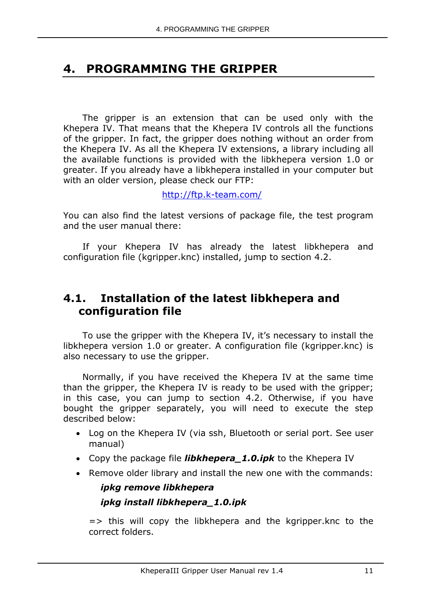# <span id="page-14-0"></span>**4. PROGRAMMING THE GRIPPER**

The gripper is an extension that can be used only with the Khepera IV. That means that the Khepera IV controls all the functions of the gripper. In fact, the gripper does nothing without an order from the Khepera IV. As all the Khepera IV extensions, a library including all the available functions is provided with the libkhepera version 1.0 or greater. If you already have a libkhepera installed in your computer but with an older version, please check our FTP:

[http://ftp.k-team.com/](http://ftp.k-team.com/korebot/libkorebot/libkorebot-VERSION.zip)

You can also find the latest versions of package file, the test program and the user manual there:

If your Khepera IV has already the latest libkhepera and configuration file (kgripper.knc) installed, jump to section [4.2.](#page-15-0)

## <span id="page-14-1"></span>**4.1. Installation of the latest libkhepera and configuration file**

To use the gripper with the Khepera IV, it's necessary to install the libkhepera version 1.0 or greater. A configuration file (kgripper.knc) is also necessary to use the gripper.

Normally, if you have received the Khepera IV at the same time than the gripper, the Khepera IV is ready to be used with the gripper; in this case, you can jump to section [4.2.](#page-15-0) Otherwise, if you have bought the gripper separately, you will need to execute the step described below:

- Log on the Khepera IV (via ssh, Bluetooth or serial port. See user manual)
- Copy the package file *libkhepera\_1.0.ipk* to the Khepera IV
- Remove older library and install the new one with the commands:

# *ipkg remove libkhepera ipkg install libkhepera\_1.0.ipk*

 $\Rightarrow$  this will copy the libkhepera and the kgripper.knc to the correct folders.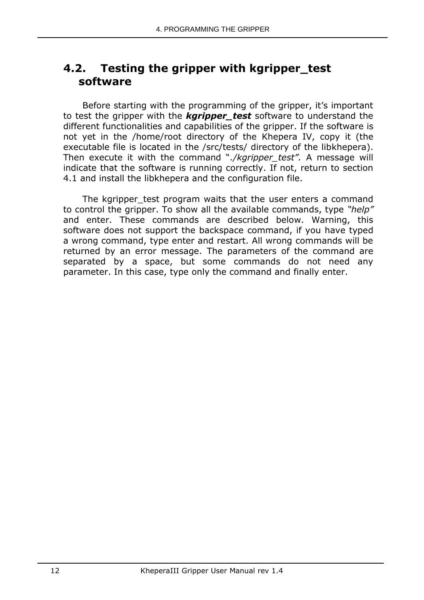## <span id="page-15-0"></span>**4.2. Testing the gripper with kgripper\_test software**

Before starting with the programming of the gripper, it's important to test the gripper with the *kgripper\_test* software to understand the different functionalities and capabilities of the gripper. If the software is not yet in the /home/root directory of the Khepera IV, copy it (the executable file is located in the /src/tests/ directory of the libkhepera). Then execute it with the command "*./kgripper\_test".* A message will indicate that the software is running correctly. If not, return to section 4.1 and install the libkhepera and the configuration file.

The kgripper test program waits that the user enters a command to control the gripper. To show all the available commands, type *"help"* and enter. These commands are described below. Warning, this software does not support the backspace command, if you have typed a wrong command, type enter and restart. All wrong commands will be returned by an error message. The parameters of the command are separated by a space, but some commands do not need any parameter. In this case, type only the command and finally enter.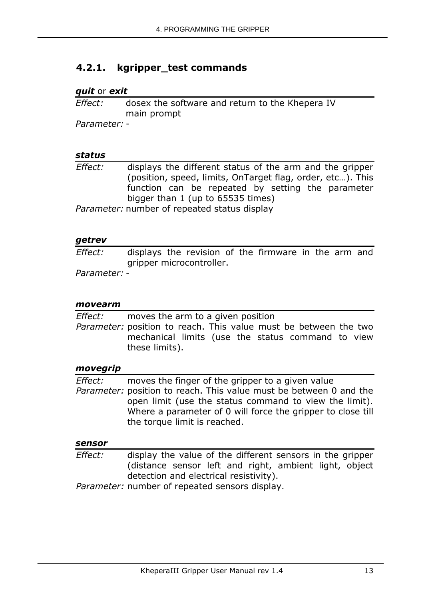## <span id="page-16-0"></span>**4.2.1. kgripper\_test commands**

#### *quit* or *exit*

*Effect:* dosex the software and return to the Khepera IV main prompt

*Parameter:* -

#### *status*

*Effect:* displays the different status of the arm and the gripper (position, speed, limits, OnTarget flag, order, etc…). This function can be repeated by setting the parameter bigger than 1 (up to 65535 times)

*Parameter:* number of repeated status display

#### *getrev*

*Effect:* displays the revision of the firmware in the arm and gripper microcontroller.

*Parameter:* -

#### *movearm*

*Effect:* moves the arm to a given position *Parameter:* position to reach. This value must be between the two mechanical limits (use the status command to view these limits).

#### *movegrip*

*Effect:* moves the finger of the gripper to a given value *Parameter:* position to reach. This value must be between 0 and the open limit (use the status command to view the limit). Where a parameter of 0 will force the gripper to close till the torque limit is reached.

#### *sensor*

*Effect:* display the value of the different sensors in the gripper (distance sensor left and right, ambient light, object detection and electrical resistivity).

*Parameter:* number of repeated sensors display.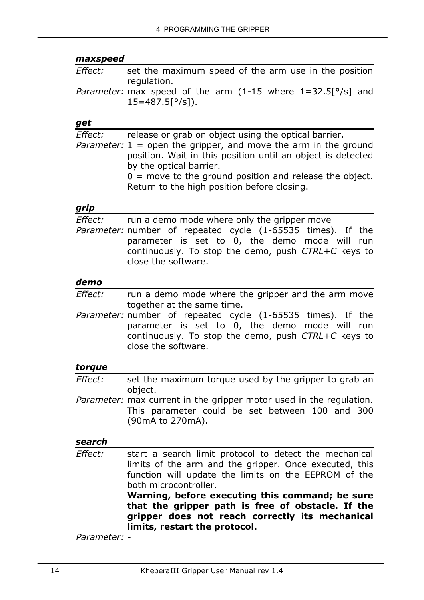#### *maxspeed*

*Effect:* set the maximum speed of the arm use in the position regulation. *Parameter:* max speed of the arm (1-15 where 1=32.5[°/s] and  $15=487.5[°/s]$ ).

#### *get*

*Effect:* release or grab on object using the optical barrier. *Parameter:* 1 = open the gripper, and move the arm in the ground position. Wait in this position until an object is detected by the optical barrier.  $0 =$  move to the ground position and release the object. Return to the high position before closing.

#### *grip*

*Effect:* run a demo mode where only the gripper move *Parameter:* number of repeated cycle (1-65535 times). If the parameter is set to  $0$ , the demo mode will run continuously. To stop the demo, push *CTRL+C* keys to close the software.

#### *demo*

- *Effect:* run a demo mode where the gripper and the arm move together at the same time.
- *Parameter:* number of repeated cycle (1-65535 times). If the parameter is set to 0, the demo mode will run continuously. To stop the demo, push *CTRL+C* keys to close the software.

#### *torque*

- *Effect:* set the maximum torque used by the gripper to grab an object.
- *Parameter:* max current in the gripper motor used in the regulation. This parameter could be set between 100 and 300 (90mA to 270mA).

#### *search*

*Effect:* start a search limit protocol to detect the mechanical limits of the arm and the gripper. Once executed, this function will update the limits on the EEPROM of the both microcontroller.

**Warning, before executing this command; be sure that the gripper path is free of obstacle. If the gripper does not reach correctly its mechanical limits, restart the protocol.**

*Parameter:* -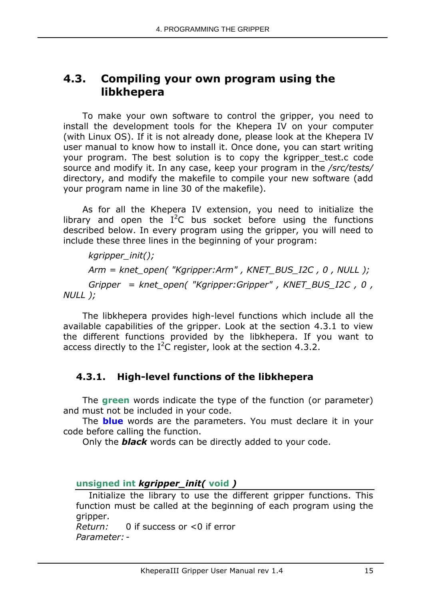## <span id="page-18-0"></span>**4.3. Compiling your own program using the libkhepera**

To make your own software to control the gripper, you need to install the development tools for the Khepera IV on your computer (with Linux OS). If it is not already done, please look at the Khepera IV user manual to know how to install it. Once done, you can start writing your program. The best solution is to copy the kgripper test.c code source and modify it. In any case, keep your program in the */src/tests/* directory, and modify the makefile to compile your new software (add your program name in line 30 of the makefile).

As for all the Khepera IV extension, you need to initialize the library and open the  $I^2C$  bus socket before using the functions described below. In every program using the gripper, you will need to include these three lines in the beginning of your program:

 *kgripper\_init(); Arm = knet\_open( "Kgripper:Arm" , KNET\_BUS\_I2C , 0 , NULL ); Gripper = knet\_open( "Kgripper:Gripper" , KNET\_BUS\_I2C , 0 , NULL );*

The libkhepera provides high-level functions which include all the available capabilities of the gripper. Look at the section 4.3.1 to view the different functions provided by the libkhepera. If you want to access directly to the  $I^2C$  register, look at the section 4.3.2.

## <span id="page-18-1"></span>**4.3.1. High-level functions of the libkhepera**

The **green** words indicate the type of the function (or parameter) and must not be included in your code.

The **blue** words are the parameters. You must declare it in your code before calling the function.

Only the *black* words can be directly added to your code.

### **unsigned int** *kgripper\_init(* **void** *)*

Initialize the library to use the different gripper functions. This function must be called at the beginning of each program using the gripper.

*Return:* 0 if success or <0 if error *Parameter:* -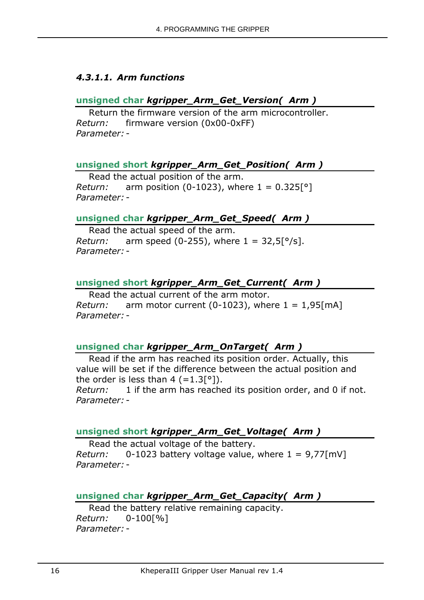### *4.3.1.1. Arm functions*

### **unsigned char** *kgripper\_Arm\_Get\_Version( Arm )*

Return the firmware version of the arm microcontroller. *Return:* firmware version (0x00-0xFF) *Parameter:* -

#### **unsigned short** *kgripper\_Arm\_Get\_Position( Arm )*

Read the actual position of the arm. *Return:* arm position (0-1023), where  $1 = 0.325[°]$ *Parameter:* -

#### **unsigned char** *kgripper\_Arm\_Get\_Speed( Arm )*

Read the actual speed of the arm. *Return:* arm speed (0-255), where  $1 = 32.5[°/s]$ . *Parameter:* -

### **unsigned short** *kgripper\_Arm\_Get\_Current( Arm )*

Read the actual current of the arm motor. *Return:* arm motor current (0-1023), where  $1 = 1.95$ [mA] *Parameter:* -

## **unsigned char** *kgripper\_Arm\_OnTarget( Arm )*

Read if the arm has reached its position order. Actually, this value will be set if the difference between the actual position and the order is less than 4  $(=1.3[^{\circ}])$ .

*Return:* 1 if the arm has reached its position order, and 0 if not. *Parameter:* -

### **unsigned short** *kgripper\_Arm\_Get\_Voltage( Arm )*

Read the actual voltage of the battery. *Return:* 0-1023 battery voltage value, where 1 = 9,77[mV] *Parameter:* -

## **unsigned char** *kgripper\_Arm\_Get\_Capacity( Arm )*

Read the battery relative remaining capacity. *Return:* 0-100[%] *Parameter:* -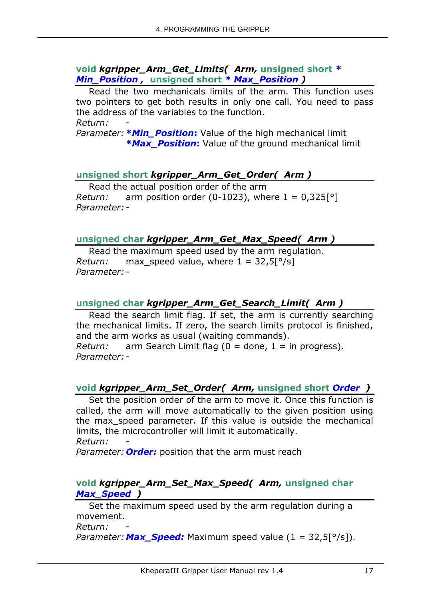#### **void** *kgripper\_Arm\_Get\_Limits( Arm,* **unsigned short** *\* Min\_Position ,* **unsigned short** *\* Max\_Position )*

Read the two mechanicals limits of the arm. This function uses two pointers to get both results in only one call. You need to pass the address of the variables to the function. *Return:* -

*Parameter:* **\****Min\_Position***:** Value of the high mechanical limit **\****Max\_Position***:** Value of the ground mechanical limit

## **unsigned short** *kgripper\_Arm\_Get\_Order( Arm )*

Read the actual position order of the arm *Return:* arm position order (0-1023), where  $1 = 0.325$ [°] *Parameter:* -

### **unsigned char** *kgripper\_Arm\_Get\_Max\_Speed( Arm )*

Read the maximum speed used by the arm regulation. *Return:* max speed value, where  $1 = 32.5$ [ $\degree$ /s] *Parameter:* -

## **unsigned char** *kgripper\_Arm\_Get\_Search\_Limit( Arm )*

Read the search limit flag. If set, the arm is currently searching the mechanical limits. If zero, the search limits protocol is finished, and the arm works as usual (waiting commands). *Return:* arm Search Limit flag (0 = done, 1 = in progress). *Parameter:* -

### **void** *kgripper\_Arm\_Set\_Order( Arm,* **unsigned short** *Order )*

Set the position order of the arm to move it. Once this function is called, the arm will move automatically to the given position using the max speed parameter. If this value is outside the mechanical limits, the microcontroller will limit it automatically. *Return:* -

*Parameter: Order:* position that the arm must reach

### **void** *kgripper\_Arm\_Set\_Max\_Speed( Arm,* **unsigned char**  *Max\_Speed )*

Set the maximum speed used by the arm regulation during a movement.

*Return:* -

*Parameter:Max\_Speed:* Maximum speed value (1 = 32,5[°/s]).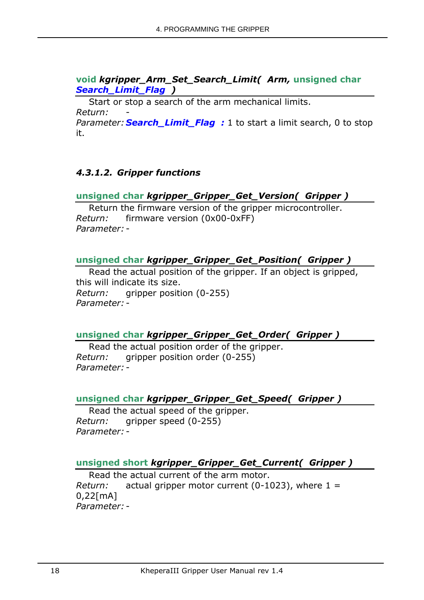### **void** *kgripper\_Arm\_Set\_Search\_Limit( Arm,* **unsigned char**  *Search\_Limit\_Flag )*

Start or stop a search of the arm mechanical limits. *Return:* -

*Parameter:* **Search\_Limit\_Flag** : 1 to start a limit search, 0 to stop it.

### *4.3.1.2. Gripper functions*

### **unsigned char** *kgripper\_Gripper\_Get\_Version( Gripper )*

Return the firmware version of the gripper microcontroller. *Return:* firmware version (0x00-0xFF) *Parameter:* -

### **unsigned char** *kgripper\_Gripper\_Get\_Position( Gripper )*

Read the actual position of the gripper. If an object is gripped, this will indicate its size. *Return:* gripper position (0-255) *Parameter:* -

### **unsigned char** *kgripper\_Gripper\_Get\_Order( Gripper )*

Read the actual position order of the gripper. *Return:* gripper position order (0-255) *Parameter:* -

#### **unsigned char** *kgripper\_Gripper\_Get\_Speed( Gripper )*

Read the actual speed of the gripper. *Return:* gripper speed (0-255) *Parameter:* -

#### **unsigned short** *kgripper\_Gripper\_Get\_Current( Gripper )*

Read the actual current of the arm motor. *Return:* actual gripper motor current (0-1023), where 1 = 0,22[mA] *Parameter:* -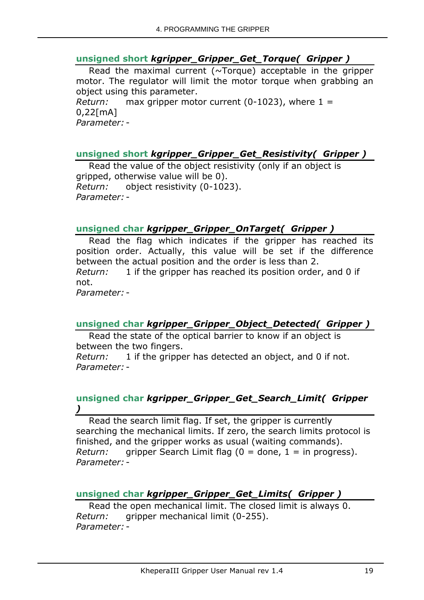### **unsigned short** *kgripper\_Gripper\_Get\_Torque( Gripper )*

Read the maximal current (~Torque) acceptable in the gripper motor. The regulator will limit the motor torque when grabbing an object using this parameter. *Return:* max gripper motor current (0-1023), where 1 = 0,22[mA]

*Parameter:* -

### **unsigned short** *kgripper\_Gripper\_Get\_Resistivity( Gripper )*

Read the value of the object resistivity (only if an object is gripped, otherwise value will be 0). *Return:* object resistivity (0-1023). *Parameter:* -

#### **unsigned char** *kgripper\_Gripper\_OnTarget( Gripper )*

Read the flag which indicates if the gripper has reached its position order. Actually, this value will be set if the difference between the actual position and the order is less than 2. *Return:* 1 if the gripper has reached its position order, and 0 if not. *Parameter:* -

### **unsigned char** *kgripper\_Gripper\_Object\_Detected( Gripper )*

Read the state of the optical barrier to know if an object is between the two fingers. *Return:* 1 if the gripper has detected an object, and 0 if not. *Parameter:* -

#### **unsigned char** *kgripper\_Gripper\_Get\_Search\_Limit( Gripper )*

Read the search limit flag. If set, the gripper is currently searching the mechanical limits. If zero, the search limits protocol is finished, and the gripper works as usual (waiting commands). *Return:* gripper Search Limit flag  $(0 =$  done,  $1 =$  in progress). *Parameter:* -

### **unsigned char** *kgripper\_Gripper\_Get\_Limits( Gripper )*

Read the open mechanical limit. The closed limit is always 0. *Return:* gripper mechanical limit (0-255). *Parameter:* -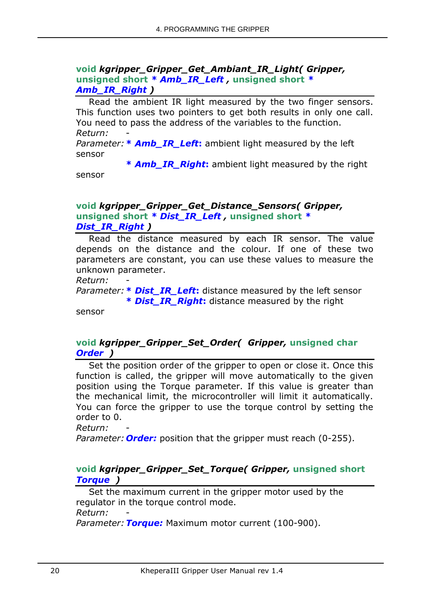#### **void** *kgripper\_Gripper\_Get\_Ambiant\_IR\_Light( Gripper,*  **unsigned short** *\* Amb\_IR\_Left ,* **unsigned short** *\* Amb\_IR\_Right )*

Read the ambient IR light measured by the two finger sensors. This function uses two pointers to get both results in only one call. You need to pass the address of the variables to the function. *Return:* -

*Parameter:* **\*** *Amb\_IR\_Left***:** ambient light measured by the left sensor

**\*** *Amb\_IR\_Right***:** ambient light measured by the right sensor

#### **void** *kgripper\_Gripper\_Get\_Distance\_Sensors( Gripper,*  **unsigned short** *\* Dist\_IR\_Left ,* **unsigned short** *\* Dist\_IR\_Right )*

Read the distance measured by each IR sensor. The value depends on the distance and the colour. If one of these two parameters are constant, you can use these values to measure the unknown parameter.

*Return:* -

*Parameter:* **\*** *Dist\_IR\_Left***:** distance measured by the left sensor **\*** *Dist\_IR\_Right***:** distance measured by the right

sensor

### **void** *kgripper\_Gripper\_Set\_Order( Gripper,* **unsigned char** *Order )*

Set the position order of the gripper to open or close it. Once this function is called, the gripper will move automatically to the given position using the Torque parameter. If this value is greater than the mechanical limit, the microcontroller will limit it automatically. You can force the gripper to use the torque control by setting the order to 0.

*Return:* -

*Parameter: Order:* position that the gripper must reach (0-255).

#### **void** *kgripper\_Gripper\_Set\_Torque( Gripper,* **unsigned short** *Torque )*

Set the maximum current in the gripper motor used by the regulator in the torque control mode. *Return:* -

*Parameter:Torque:* Maximum motor current (100-900).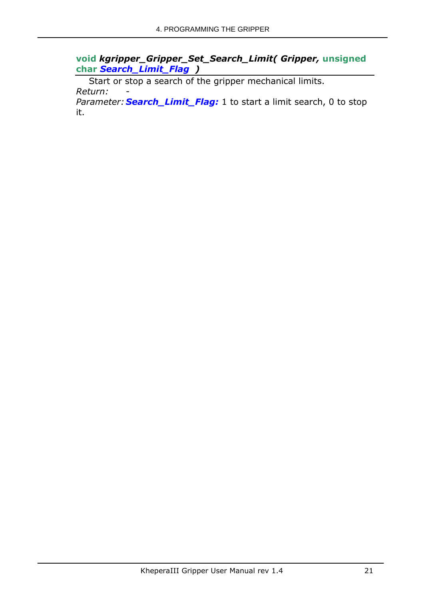**void** *kgripper\_Gripper\_Set\_Search\_Limit( Gripper,* **unsigned char** *Search\_Limit\_Flag )*

Start or stop a search of the gripper mechanical limits. *Return:* -

*Parameter: Search\_Limit\_Flag:* 1 to start a limit search, 0 to stop it.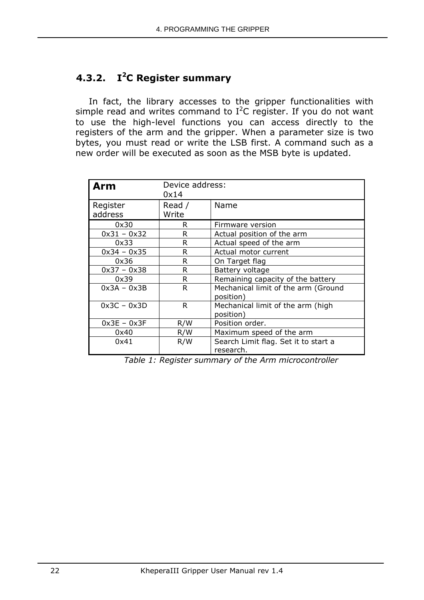## <span id="page-25-0"></span>**4.3.2. I <sup>2</sup>C Register summary**

In fact, the library accesses to the gripper functionalities with simple read and writes command to  $I^2C$  register. If you do not want to use the high-level functions you can access directly to the registers of the arm and the gripper. When a parameter size is two bytes, you must read or write the LSB first. A command such as a new order will be executed as soon as the MSB byte is updated.

| Arm                 | Device address:<br>0x14 |                                                   |  |
|---------------------|-------------------------|---------------------------------------------------|--|
| Register<br>address | Read /<br>Write         | Name                                              |  |
| 0x30                | R                       | Firmware version                                  |  |
| $0x31 - 0x32$       | R                       | Actual position of the arm                        |  |
| 0x33                | R                       | Actual speed of the arm                           |  |
| $0x34 - 0x35$       | R                       | Actual motor current                              |  |
| 0x36                | R                       | On Target flag                                    |  |
| $0x37 - 0x38$       | R                       | Battery voltage                                   |  |
| 0x39                | R                       | Remaining capacity of the battery                 |  |
| $0x3A - 0x3B$       | R                       | Mechanical limit of the arm (Ground<br>position)  |  |
| $0x3C - 0x3D$       | R.                      | Mechanical limit of the arm (high<br>position)    |  |
| $0x3E - 0x3F$       | R/W                     | Position order.                                   |  |
| 0x40                | R/W                     | Maximum speed of the arm                          |  |
| 0x41                | R/W                     | Search Limit flag. Set it to start a<br>research. |  |

*Table 1: Register summary of the Arm microcontroller*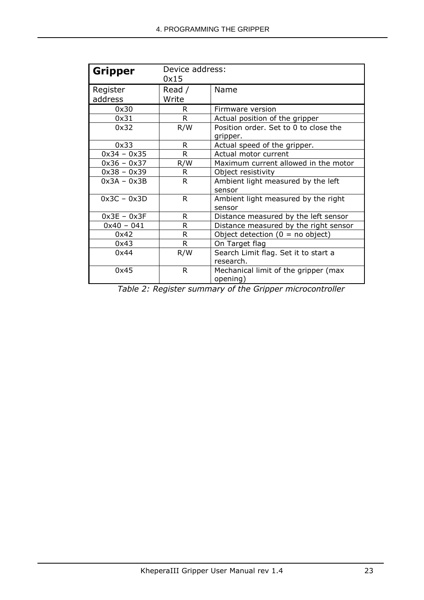| <b>Gripper</b>      | Device address:<br>0x15 |                                                   |  |
|---------------------|-------------------------|---------------------------------------------------|--|
| Register<br>address | Read /<br>Write         | Name                                              |  |
| 0x30                | R                       | Firmware version                                  |  |
| 0x31                | R.                      | Actual position of the gripper                    |  |
| 0x32                | R/W                     | Position order. Set to 0 to close the<br>gripper. |  |
| 0x33                | R                       | Actual speed of the gripper.                      |  |
| $0x34 - 0x35$       | R.                      | Actual motor current                              |  |
| $0x36 - 0x37$       | R/W                     | Maximum current allowed in the motor              |  |
| $0x38 - 0x39$       | R.                      | Object resistivity                                |  |
| $0x3A - 0x3B$       | R.                      | Ambient light measured by the left<br>sensor      |  |
| $0x3C - 0x3D$       | R.                      | Ambient light measured by the right<br>sensor     |  |
| $0x3E - 0x3F$       | R                       | Distance measured by the left sensor              |  |
| $0x40 - 041$        | R                       | Distance measured by the right sensor             |  |
| 0x42                | R                       | Object detection $(0 = no$ object)                |  |
| 0x43                | R                       | On Target flag                                    |  |
| 0x44                | R/W                     | Search Limit flag. Set it to start a<br>research. |  |
| 0x45                | R.                      | Mechanical limit of the gripper (max<br>opening)  |  |

*Table 2: Register summary of the Gripper microcontroller*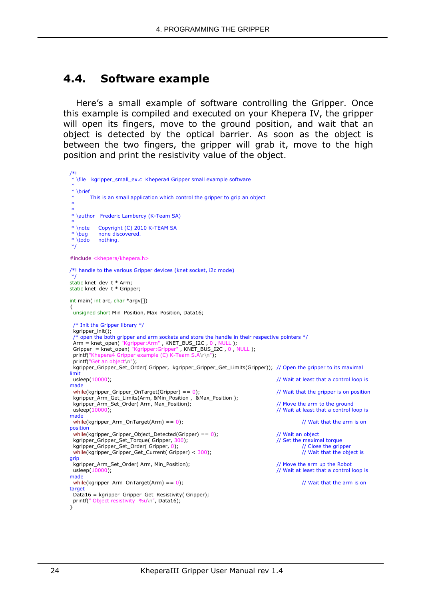## <span id="page-27-0"></span>**4.4. Software example**

Here's a small example of software controlling the Gripper. Once this example is compiled and executed on your Khepera IV, the gripper will open its fingers, move to the ground position, and wait that an object is detected by the optical barrier. As soon as the object is between the two fingers, the gripper will grab it, move to the high position and print the resistivity value of the object.

```
/*! 
 * \file kgripper_small_ex.c Khepera4 Gripper small example software 
 *
* \brief
       This is an small application which control the gripper to grip an object
 * 
 * 
* \author Frederic Lambercy (K-Team SA) 
 *
* \note Copyright (C) 2010 K-TEAM SA
* \bug none discovered.<br>* \todo nothing.
          nothing.
*/
#include <khepera/khepera.h>
/*! handle to the various Gripper devices (knet socket, i2c mode)
*/
static knet_dev_t * Arm;
static knet_dev_t * Gripper;
int main( int arc, char *argv[])
{
  unsigned short Min_Position, Max_Position, Data16;
  /* Init the Gripper library */
  kgripper_init();
  /* open the both gripper and arm sockets and store the handle in their respective pointers */
Arm = knet_open( "Kgripper:Arm", KNET_BUS_I2C, 0, NULL);
Gripper = knet_open( "Kgripper:Gripper", KNET_BUS_I2C, 0, NULL);
 printf("Khepera4 Gripper example (C) K-Team S.A\r\n");
 printf("Get an object\n");
  kgripper_Gripper_Set_Order( Gripper, kgripper_Gripper_Get_Limits(Gripper)); // Open the gripper to its maximal 
limit<br>usleep(10000);
                                                                               // Wait at least that a control loop is
made
 while(kgripper_Gripper_OnTarget(Gripper) == 0); // Wait that the gripper is on position
  kgripper_Arm_Get_Limits(Arm, &Min_Position , &Max_Position );
 kgripper_Arm_Set_Order( Arm, Max_Position); \frac{1}{2} // Move the arm to the ground<br>usleep(10000); // Wait at least that a control li
                                                                               \frac{1}{2} Wait at least that a control loop is
made
 while(kgripper_Arm_OnTarget(Arm) == 0); \frac{1}{2} // Wait that the arm is on
position
 while(kgripper_Gripper_Object_Detected(Gripper) == 0); \frac{1}{2} // Wait an object kgripper Gripper Set Torque(Gripper, 300); \frac{1}{2} Set the maximal torque
 kgripper_Gripper_Set_Torque( Gripper, 300);<br>
kgripper_Gripper_Set_Torque( Gripper, 300);<br>
kgripper_Gripper_Gripper_Set_Order( Gripper, 0);<br>
// Close the gripper
 kgripper_Gripper_Set_Order( Gripper, 0);<br>
while(kgripper_Gripper_Get_Current( Gripper) < 300);<br>
// Wait that the object is
 while(kgripper_Gripper_Get_Current( Gripper) < 300);
grip
  kgripper_Arm_Set_Order( Arm, Min_Position); // Move the arm up the Robot 
 u\text{sleep}(10000);
made
 while(kgripper_Arm_OnTarget(Arm) == 0); \qquad // Wait that the arm is on
target
  Data16 = kgripper_Gripper_Get_Resistivity( Gripper);
 printf(" Object resistivity %u\n", Data16);
}
```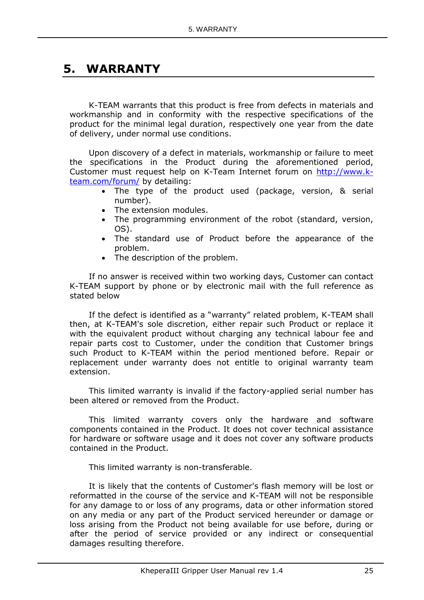## <span id="page-28-0"></span>**5. WARRANTY**

K-TEAM warrants that this product is free from defects in materials and workmanship and in conformity with the respective specifications of the product for the minimal legal duration, respectively one year from the date of delivery, under normal use conditions.

Upon discovery of a defect in materials, workmanship or failure to meet the specifications in the Product during the aforementioned period, Customer must request help on K-Team Internet forum on [http://www.k](http://www.k-team.com/forum/)[team.com/forum/](http://www.k-team.com/forum/) by detailing:

- The type of the product used (package, version, & serial number).
- The extension modules.
- The programming environment of the robot (standard, version, OS).
- The standard use of Product before the appearance of the problem.
- The description of the problem.

If no answer is received within two working days, Customer can contact K-TEAM support by phone or by electronic mail with the full reference as stated below

If the defect is identified as a "warranty" related problem, K-TEAM shall then, at K-TEAM's sole discretion, either repair such Product or replace it with the equivalent product without charging any technical labour fee and repair parts cost to Customer, under the condition that Customer brings such Product to K-TEAM within the period mentioned before. Repair or replacement under warranty does not entitle to original warranty team extension.

This limited warranty is invalid if the factory-applied serial number has been altered or removed from the Product.

This limited warranty covers only the hardware and software components contained in the Product. It does not cover technical assistance for hardware or software usage and it does not cover any software products contained in the Product.

This limited warranty is non-transferable.

It is likely that the contents of Customer's flash memory will be lost or reformatted in the course of the service and K-TEAM will not be responsible for any damage to or loss of any programs, data or other information stored on any media or any part of the Product serviced hereunder or damage or loss arising from the Product not being available for use before, during or after the period of service provided or any indirect or consequential damages resulting therefore.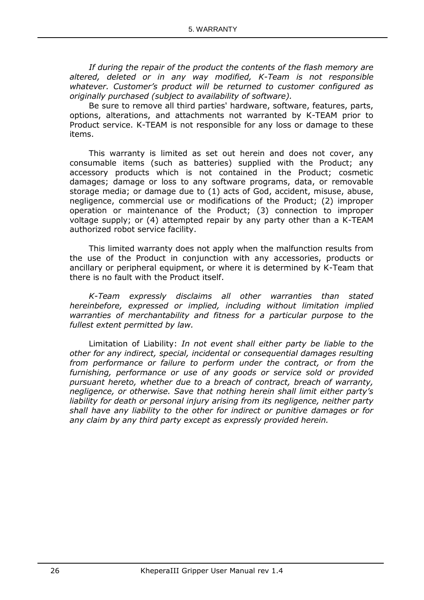*If during the repair of the product the contents of the flash memory are altered, deleted or in any way modified, K-Team is not responsible whatever. Customer's product will be returned to customer configured as originally purchased (subject to availability of software).*

Be sure to remove all third parties' hardware, software, features, parts, options, alterations, and attachments not warranted by K-TEAM prior to Product service. K-TEAM is not responsible for any loss or damage to these items.

This warranty is limited as set out herein and does not cover, any consumable items (such as batteries) supplied with the Product; any accessory products which is not contained in the Product; cosmetic damages; damage or loss to any software programs, data, or removable storage media; or damage due to (1) acts of God, accident, misuse, abuse, negligence, commercial use or modifications of the Product; (2) improper operation or maintenance of the Product; (3) connection to improper voltage supply; or (4) attempted repair by any party other than a K-TEAM authorized robot service facility.

This limited warranty does not apply when the malfunction results from the use of the Product in conjunction with any accessories, products or ancillary or peripheral equipment, or where it is determined by K-Team that there is no fault with the Product itself.

*K-Team expressly disclaims all other warranties than stated hereinbefore, expressed or implied, including without limitation implied warranties of merchantability and fitness for a particular purpose to the fullest extent permitted by law.*

Limitation of Liability: *In not event shall either party be liable to the other for any indirect, special, incidental or consequential damages resulting from performance or failure to perform under the contract, or from the furnishing, performance or use of any goods or service sold or provided pursuant hereto, whether due to a breach of contract, breach of warranty, negligence, or otherwise. Save that nothing herein shall limit either party's liability for death or personal injury arising from its negligence, neither party shall have any liability to the other for indirect or punitive damages or for any claim by any third party except as expressly provided herein.*